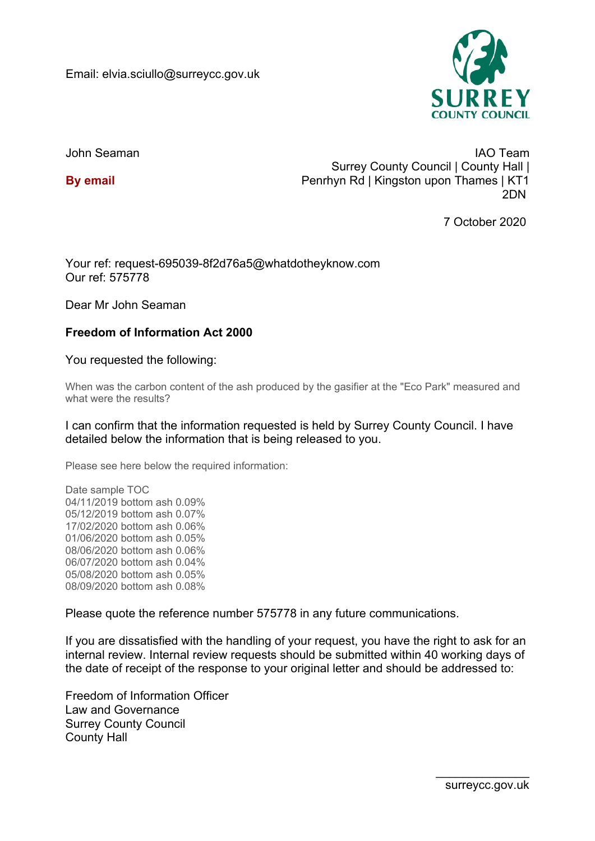

John Seaman

**By email**

IAO Team Surrey County Council | County Hall | Penrhyn Rd | Kingston upon Thames | KT1 2DN

7 October 2020

Your ref: request-695039-8f2d76a5@whatdotheyknow.com Our ref: 575778

Dear Mr John Seaman

## **Freedom of Information Act 2000**

You requested the following:

When was the carbon content of the ash produced by the gasifier at the "Eco Park" measured and what were the results?

I can confirm that the information requested is held by Surrey County Council. I have detailed below the information that is being released to you.

Please see here below the required information:

Date sample TOC 04/11/2019 bottom ash 0.09% 05/12/2019 bottom ash 0.07% 17/02/2020 bottom ash 0.06% 01/06/2020 bottom ash 0.05% 08/06/2020 bottom ash 0.06% 06/07/2020 bottom ash 0.04% 05/08/2020 bottom ash 0.05% 08/09/2020 bottom ash 0.08%

Please quote the reference number 575778 in any future communications.

If you are dissatisfied with the handling of your request, you have the right to ask for an internal review. Internal review requests should be submitted within 40 working days of the date of receipt of the response to your original letter and should be addressed to:

Freedom of Information Officer Law and Governance Surrey County Council County Hall